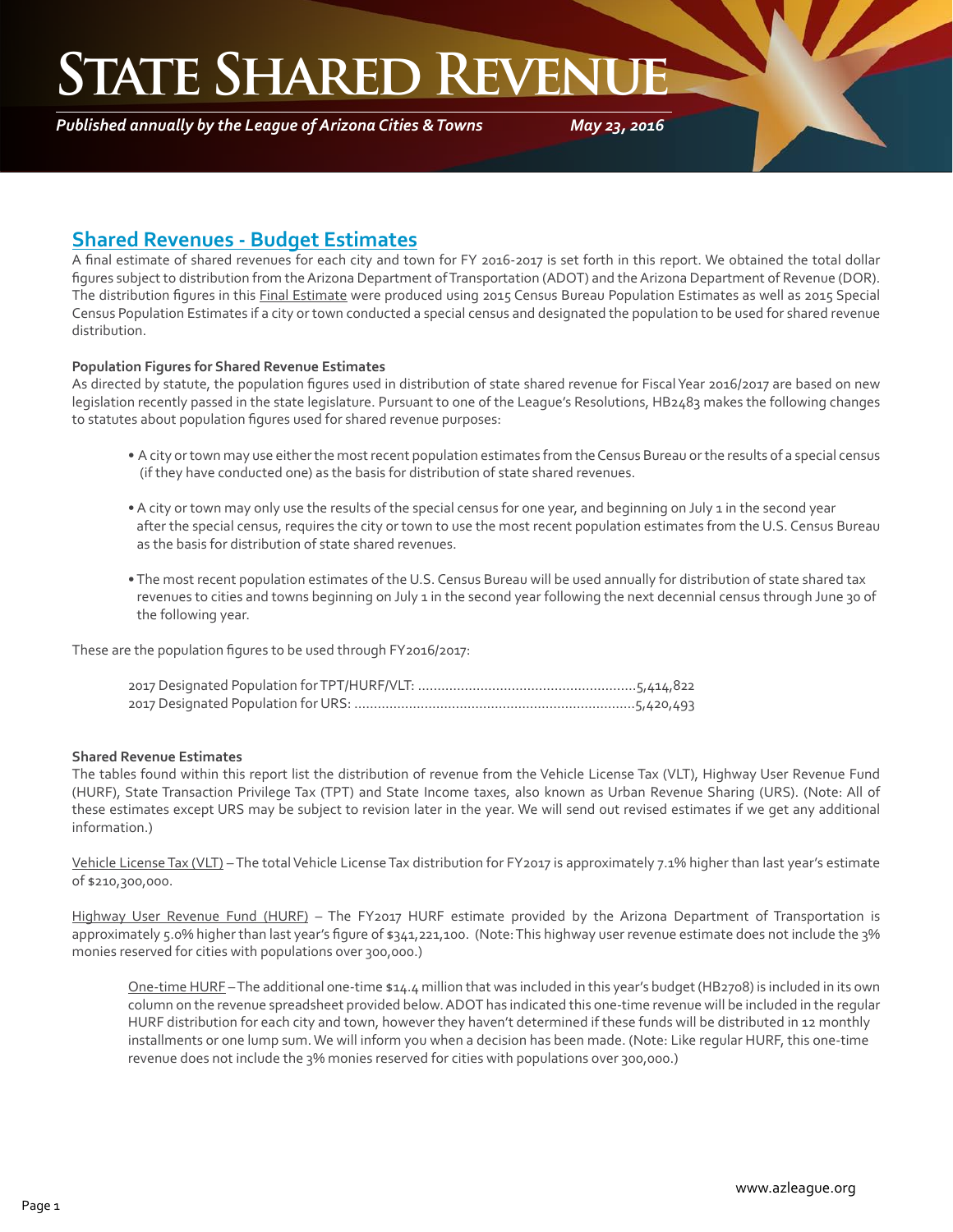## **STATE SHARED REVENT**

*Published annually by the League of Arizona Cities & Towns*

*May 23, 2016*

#### **Shared Revenues - Budget Estimates**

A final estimate of shared revenues for each city and town for FY 2016-2017 is set forth in this report. We obtained the total dollar figures subject to distribution from the Arizona Department of Transportation (ADOT) and the Arizona Department of Revenue (DOR). The distribution figures in this Final Estimate were produced using 2015 Census Bureau Population Estimates as well as 2015 Special Census Population Estimates if a city or town conducted a special census and designated the population to be used for shared revenue distribution.

#### **Population Figures for Shared Revenue Estimates**

As directed by statute, the population figures used in distribution of state shared revenue for Fiscal Year 2016/2017 are based on new legislation recently passed in the state legislature. Pursuant to one of the League's Resolutions, HB2483 makes the following changes to statutes about population figures used for shared revenue purposes:

- A city or town may use either the most recent population estimates from the Census Bureau or the results of a special census (if they have conducted one) as the basis for distribution of state shared revenues.
- A city or town may only use the results of the special census for one year, and beginning on July 1 in the second year after the special census, requires the city or town to use the most recent population estimates from the U.S. Census Bureau as the basis for distribution of state shared revenues.
- The most recent population estimates of the U.S. Census Bureau will be used annually for distribution of state shared tax revenues to cities and towns beginning on July 1 in the second year following the next decennial census through June 30 of the following year.

These are the population figures to be used through FY2016/2017:

#### **Shared Revenue Estimates**

The tables found within this report list the distribution of revenue from the Vehicle License Tax (VLT), Highway User Revenue Fund (HURF), State Transaction Privilege Tax (TPT) and State Income taxes, also known as Urban Revenue Sharing (URS). (Note: All of these estimates except URS may be subject to revision later in the year. We will send out revised estimates if we get any additional information.)

Vehicle License Tax (VLT) – The total Vehicle License Tax distribution for FY2017 is approximately 7.1% higher than last year's estimate of \$210,300,000.

Highway User Revenue Fund (HURF) – The FY2017 HURF estimate provided by the Arizona Department of Transportation is approximately 5.0% higher than last year's figure of \$341,221,100. (Note: This highway user revenue estimate does not include the 3% monies reserved for cities with populations over 300,000.)

One-time HURF – The additional one-time \$14.4 million that was included in this year's budget (HB2708) is included in its own column on the revenue spreadsheet provided below. ADOT has indicated this one-time revenue will be included in the regular HURF distribution for each city and town, however they haven't determined if these funds will be distributed in 12 monthly installments or one lump sum. We will inform you when a decision has been made. (Note: Like regular HURF, this one-time revenue does not include the 3% monies reserved for cities with populations over 300,000.)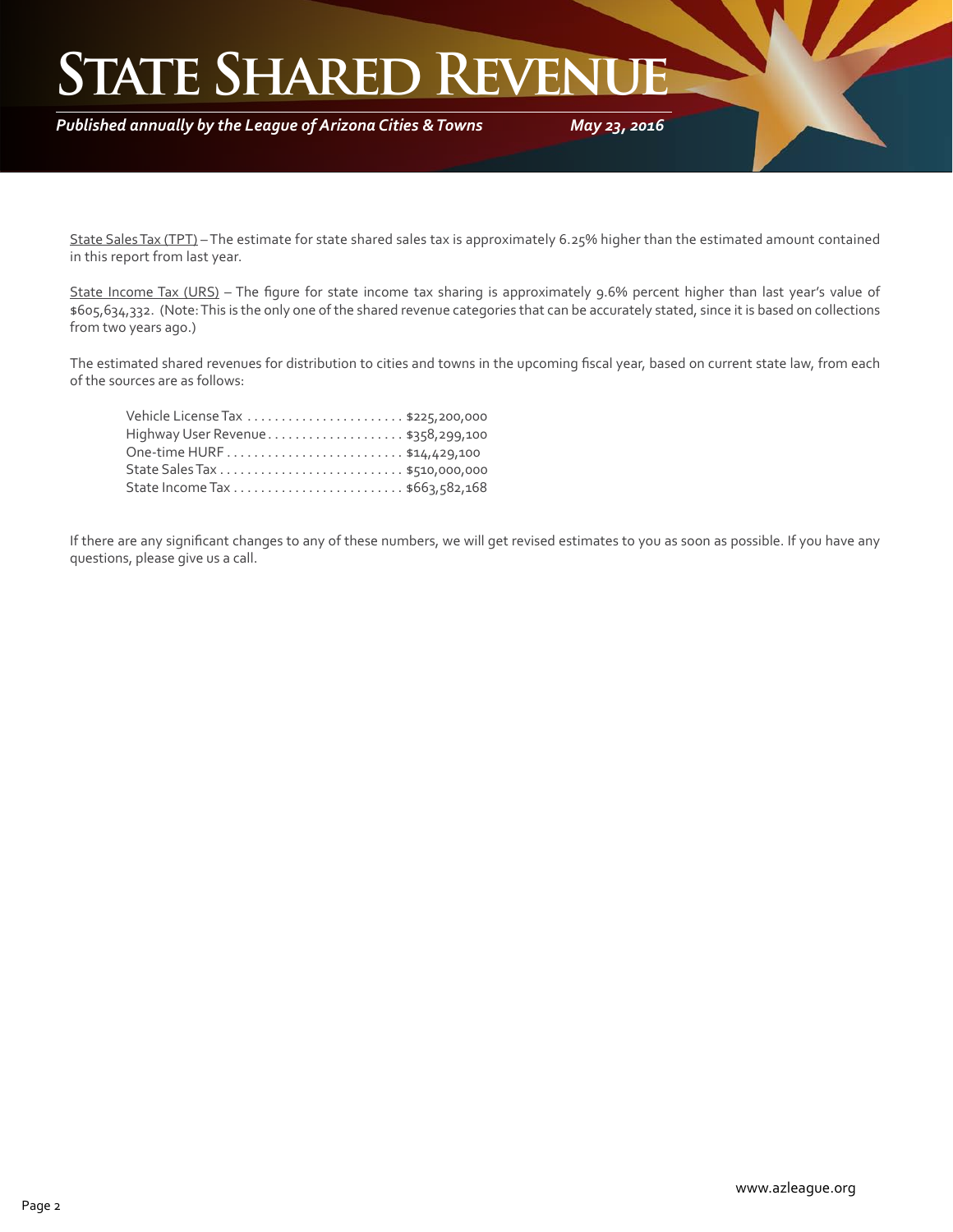### **STATE SHARED REVEN**

*Published annually by the League of Arizona Cities & Towns*

*May 23, 2016*

State Sales Tax (TPT) - The estimate for state shared sales tax is approximately 6.25% higher than the estimated amount contained in this report from last year.

State Income Tax (URS) - The figure for state income tax sharing is approximately 9.6% percent higher than last year's value of \$605,634,332. (Note: This is the only one of the shared revenue categories that can be accurately stated, since it is based on collections from two years ago.)

The estimated shared revenues for distribution to cities and towns in the upcoming fiscal year, based on current state law, from each of the sources are as follows:

| Highway User Revenue\$358,299,100 |  |
|-----------------------------------|--|
|                                   |  |
|                                   |  |
|                                   |  |

If there are any significant changes to any of these numbers, we will get revised estimates to you as soon as possible. If you have any questions, please give us a call.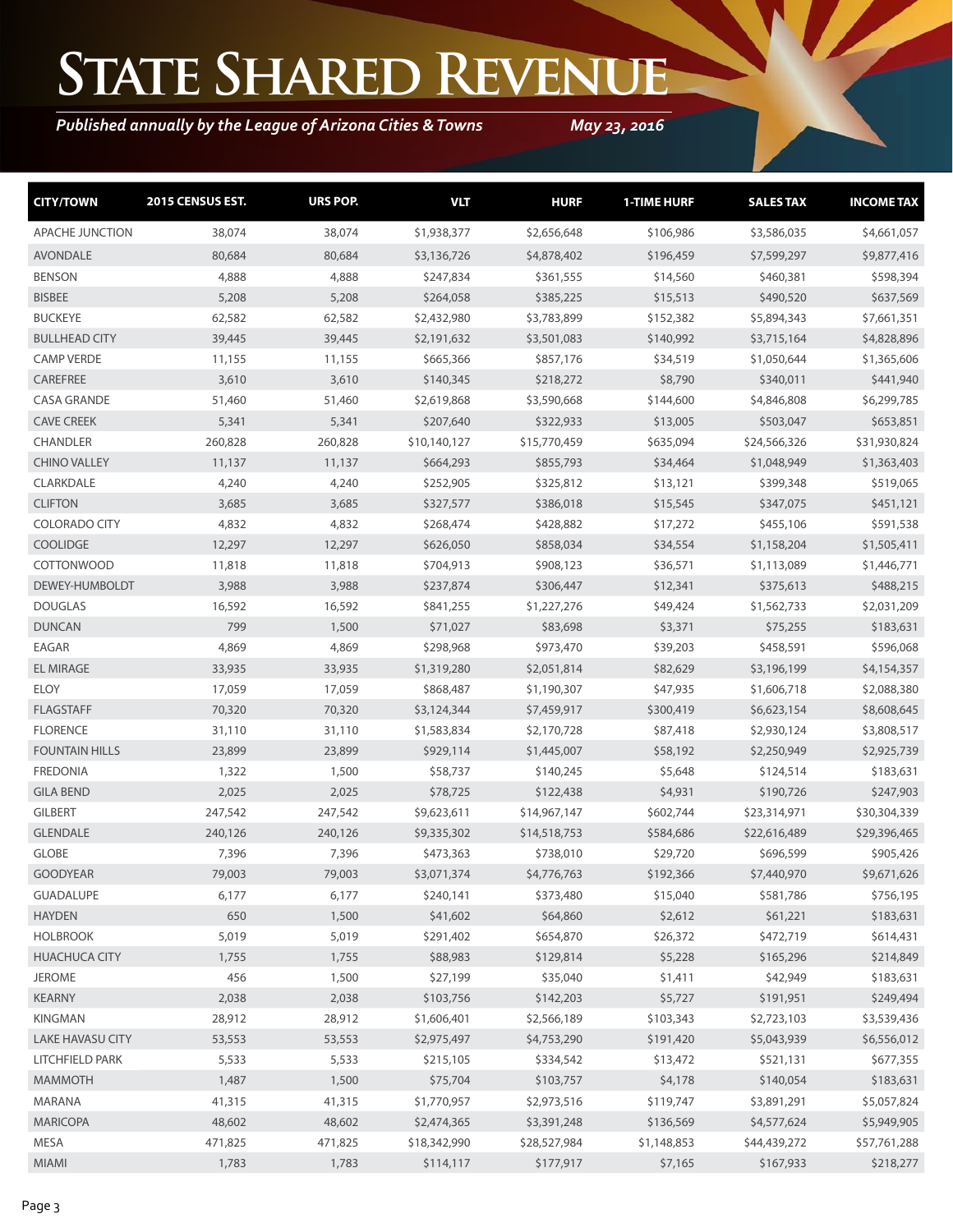# **State Shared Revenue**

### *Published annually by the League of Arizona Cities & Towns*

*May 23, 2016*

| <b>CITY/TOWN</b>        | 2015 CENSUS EST. | URS POP. | <b>VLT</b>   | <b>HURF</b>  | <b>1-TIME HURF</b> | <b>SALES TAX</b> | <b>INCOME TAX</b> |
|-------------------------|------------------|----------|--------------|--------------|--------------------|------------------|-------------------|
| <b>APACHE JUNCTION</b>  | 38,074           | 38,074   | \$1,938,377  | \$2,656,648  | \$106,986          | \$3,586,035      | \$4,661,057       |
| <b>AVONDALE</b>         | 80,684           | 80,684   | \$3,136,726  | \$4,878,402  | \$196,459          | \$7,599,297      | \$9,877,416       |
| <b>BENSON</b>           | 4,888            | 4,888    | \$247,834    | \$361,555    | \$14,560           | \$460,381        | \$598,394         |
| <b>BISBEE</b>           | 5,208            | 5,208    | \$264,058    | \$385,225    | \$15,513           | \$490,520        | \$637,569         |
| <b>BUCKEYE</b>          | 62,582           | 62,582   | \$2,432,980  | \$3,783,899  | \$152,382          | \$5,894,343      | \$7,661,351       |
| <b>BULLHEAD CITY</b>    | 39,445           | 39,445   | \$2,191,632  | \$3,501,083  | \$140,992          | \$3,715,164      | \$4,828,896       |
| <b>CAMP VERDE</b>       | 11,155           | 11,155   | \$665,366    | \$857,176    | \$34,519           | \$1,050,644      | \$1,365,606       |
| CAREFREE                | 3,610            | 3,610    | \$140,345    | \$218,272    | \$8,790            | \$340,011        | \$441,940         |
| <b>CASA GRANDE</b>      | 51,460           | 51,460   | \$2,619,868  | \$3,590,668  | \$144,600          | \$4,846,808      | \$6,299,785       |
| <b>CAVE CREEK</b>       | 5,341            | 5,341    | \$207,640    | \$322,933    | \$13,005           | \$503,047        | \$653,851         |
| <b>CHANDLER</b>         | 260,828          | 260,828  | \$10,140,127 | \$15,770,459 | \$635,094          | \$24,566,326     | \$31,930,824      |
| <b>CHINO VALLEY</b>     | 11,137           | 11,137   | \$664,293    | \$855,793    | \$34,464           | \$1,048,949      | \$1,363,403       |
| CLARKDALE               | 4,240            | 4,240    | \$252,905    | \$325,812    | \$13,121           | \$399,348        | \$519,065         |
| <b>CLIFTON</b>          | 3,685            | 3,685    | \$327,577    | \$386,018    | \$15,545           | \$347,075        | \$451,121         |
| <b>COLORADO CITY</b>    | 4,832            | 4,832    | \$268,474    | \$428,882    | \$17,272           | \$455,106        | \$591,538         |
| <b>COOLIDGE</b>         | 12,297           | 12,297   | \$626,050    | \$858,034    | \$34,554           | \$1,158,204      | \$1,505,411       |
| <b>COTTONWOOD</b>       | 11,818           | 11,818   | \$704,913    | \$908,123    | \$36,571           | \$1,113,089      | \$1,446,771       |
| DEWEY-HUMBOLDT          | 3,988            | 3,988    | \$237,874    | \$306,447    | \$12,341           | \$375,613        | \$488,215         |
| <b>DOUGLAS</b>          | 16,592           | 16,592   | \$841,255    | \$1,227,276  | \$49,424           | \$1,562,733      | \$2,031,209       |
| <b>DUNCAN</b>           | 799              | 1,500    | \$71,027     | \$83,698     | \$3,371            | \$75,255         | \$183,631         |
| EAGAR                   | 4,869            | 4,869    | \$298,968    | \$973,470    | \$39,203           | \$458,591        | \$596,068         |
| <b>EL MIRAGE</b>        | 33,935           | 33,935   | \$1,319,280  | \$2,051,814  | \$82,629           | \$3,196,199      | \$4,154,357       |
| <b>ELOY</b>             | 17,059           | 17,059   | \$868,487    | \$1,190,307  | \$47,935           | \$1,606,718      | \$2,088,380       |
| <b>FLAGSTAFF</b>        | 70,320           | 70,320   | \$3,124,344  | \$7,459,917  | \$300,419          | \$6,623,154      | \$8,608,645       |
| <b>FLORENCE</b>         | 31,110           | 31,110   | \$1,583,834  | \$2,170,728  | \$87,418           | \$2,930,124      | \$3,808,517       |
| <b>FOUNTAIN HILLS</b>   | 23,899           | 23,899   | \$929,114    | \$1,445,007  | \$58,192           | \$2,250,949      | \$2,925,739       |
| <b>FREDONIA</b>         | 1,322            | 1,500    | \$58,737     | \$140,245    | \$5,648            | \$124,514        | \$183,631         |
| <b>GILA BEND</b>        | 2,025            | 2,025    | \$78,725     | \$122,438    | \$4,931            | \$190,726        | \$247,903         |
| <b>GILBERT</b>          | 247,542          | 247,542  | \$9,623,611  | \$14,967,147 | \$602,744          | \$23,314,971     | \$30,304,339      |
| <b>GLENDALE</b>         | 240,126          | 240,126  | \$9,335,302  | \$14,518,753 | \$584,686          | \$22,616,489     | \$29,396,465      |
| <b>GLOBE</b>            | 7,396            | 7,396    | \$473,363    | \$738,010    | \$29,720           | \$696,599        | \$905,426         |
| <b>GOODYEAR</b>         | 79,003           | 79,003   | \$3,071,374  | \$4,776,763  | \$192,366          | \$7,440,970      | \$9,671,626       |
| <b>GUADALUPE</b>        | 6,177            | 6,177    | \$240,141    | \$373,480    | \$15,040           | \$581,786        | \$756,195         |
| <b>HAYDEN</b>           | 650              | 1,500    | \$41,602     | \$64,860     | \$2,612            | \$61,221         | \$183,631         |
| <b>HOLBROOK</b>         | 5,019            | 5,019    | \$291,402    | \$654,870    | \$26,372           | \$472,719        | \$614,431         |
| <b>HUACHUCA CITY</b>    | 1,755            | 1,755    | \$88,983     | \$129,814    | \$5,228            | \$165,296        | \$214,849         |
| <b>JEROME</b>           | 456              | 1,500    | \$27,199     | \$35,040     | \$1,411            | \$42,949         | \$183,631         |
| <b>KEARNY</b>           | 2,038            | 2,038    | \$103,756    | \$142,203    | \$5,727            | \$191,951        | \$249,494         |
| KINGMAN                 | 28,912           | 28,912   | \$1,606,401  | \$2,566,189  | \$103,343          | \$2,723,103      | \$3,539,436       |
| <b>LAKE HAVASU CITY</b> | 53,553           | 53,553   | \$2,975,497  | \$4,753,290  | \$191,420          | \$5,043,939      | \$6,556,012       |
| LITCHFIELD PARK         | 5,533            | 5,533    | \$215,105    | \$334,542    | \$13,472           | \$521,131        | \$677,355         |
| <b>MAMMOTH</b>          | 1,487            | 1,500    | \$75,704     | \$103,757    | \$4,178            | \$140,054        | \$183,631         |
| MARANA                  | 41,315           | 41,315   | \$1,770,957  | \$2,973,516  | \$119,747          | \$3,891,291      | \$5,057,824       |
| <b>MARICOPA</b>         | 48,602           | 48,602   | \$2,474,365  | \$3,391,248  | \$136,569          | \$4,577,624      | \$5,949,905       |
| MESA                    | 471,825          | 471,825  | \$18,342,990 | \$28,527,984 | \$1,148,853        | \$44,439,272     | \$57,761,288      |
| <b>MIAMI</b>            | 1,783            | 1,783    | \$114,117    | \$177,917    | \$7,165            | \$167,933        | \$218,277         |